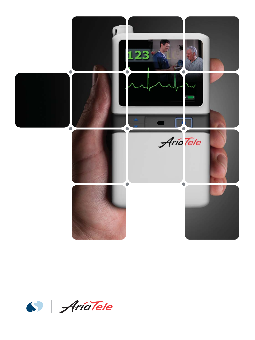

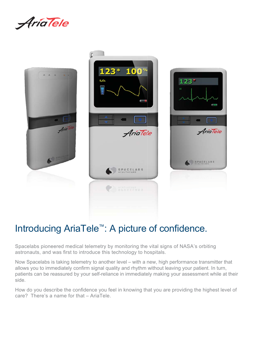



## Introducing AriaTele<sup>™</sup>: A picture of confidence.

Spacelabs pioneered medical telemetry by monitoring the vital signs of NASA's orbiting astronauts, and was first to introduce this technology to hospitals.

Now Spacelabs is taking telemetry to another level – with a new, high performance transmitter that allows you to immediately confirm signal quality and rhythm without leaving your patient. In turn, patients can be reassured by your self-reliance in immediately making your assessment while at their side.

How do you describe the confidence you feel in knowing that you are providing the highest level of care? There's a name for that – AriaTele.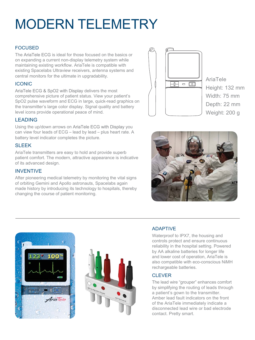# MODERN TELEMETRY

#### FOCUSED

The **AriaTele ECG** is ideal for those focused on the basics or on expanding a current non-display telemetry system while maintaining existing workflow. AriaTele is compatible with existing Spacelabs Ultraview receivers, antenna systems and central monitors for the ultimate in upgradability.

#### ICONIC

AriaTele ECG & SpO2 with Display delivers the most comprehensive picture of patient status. View your patient's SpO2 pulse waveform and ECG in large, quick-read graphics on the transmitter's large color display. Signal quality and battery level icons provide operational peace of mind.

#### LEADING

Using the up/down arrows on AriaTele ECG with Display you can view four leads of ECG – lead by lead – plus heart rate. A battery level indicator completes the picture.

#### SLEEK

AriaTele transmitters are easy to hold and provide superb patient comfort. The modern, attractive appearance is indicative of its advanced design.

#### INVENTIVE

After pioneering medical telemetry by monitoring the vital signs of orbiting Gemini and Apollo astronauts, Spacelabs again made history by introducing its technology to hospitals, thereby changing the course of patient monitoring.



AriaTele Height: 132 mm Width: 75 mm Depth: 22 mm Weight: 200 g







#### ADAPTIVE

Waterproof to IPX7, the housing and controls protect and ensure continuous reliability in the hospital setting. Powered by AA alkaline batteries for longer life and lower cost of operation, AriaTele is also compatible with eco-conscious NiMH rechargeable batteries.

#### CLEVER

The lead wire "grouper" enhances comfort by simplifying the routing of leads through a patient's gown to the transmitter. Amber lead fault indicators on the front of the AriaTele immediately indicate a disconnected lead wire or bad electrode contact. Pretty smart.